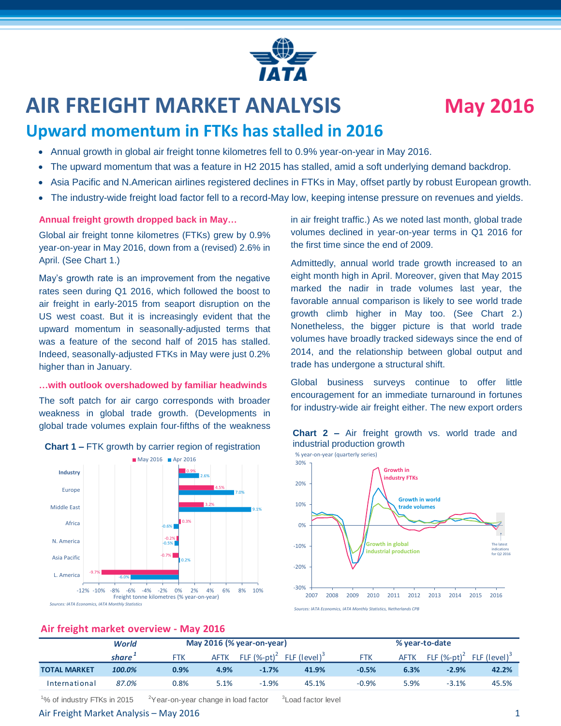# **AIR FREIGHT MARKET ANALYSIS May 2016**

# **Upward momentum in FTKs has stalled in 2016**

- Annual growth in global air freight tonne kilometres fell to 0.9% year-on-year in May 2016.
- The upward momentum that was a feature in H2 2015 has stalled, amid a soft underlying demand backdrop.
- Asia Pacific and N.American airlines registered declines in FTKs in May, offset partly by robust European growth.
- The industry-wide freight load factor fell to a record-May low, keeping intense pressure on revenues and yields.

### **Annual freight growth dropped back in May…**

Global air freight tonne kilometres (FTKs) grew by 0.9% year-on-year in May 2016, down from a (revised) 2.6% in April. (See Chart 1.)

May's growth rate is an improvement from the negative rates seen during Q1 2016, which followed the boost to air freight in early-2015 from seaport disruption on the US west coast. But it is increasingly evident that the upward momentum in seasonally-adjusted terms that was a feature of the second half of 2015 has stalled. Indeed, seasonally-adjusted FTKs in May were just 0.2% higher than in January.

#### **…with outlook overshadowed by familiar headwinds**

The soft patch for air cargo corresponds with broader weakness in global trade growth. (Developments in global trade volumes explain four-fifths of the weakness



**Chart 1 –** FTK growth by carrier region of registration

in air freight traffic.) As we noted last month, global trade volumes declined in year-on-year terms in Q1 2016 for the first time since the end of 2009.

Admittedly, annual world trade growth increased to an eight month high in April. Moreover, given that May 2015 marked the nadir in trade volumes last year, the favorable annual comparison is likely to see world trade growth climb higher in May too. (See Chart 2.) Nonetheless, the bigger picture is that world trade volumes have broadly tracked sideways since the end of 2014, and the relationship between global output and trade has undergone a structural shift.

Global business surveys continue to offer little encouragement for an immediate turnaround in fortunes for industry-wide air freight either. The new export orders





*Sources: IATA Economics, IATA Monthly Statistics, Netherlands CPB*

# **Air freight market overview - May 2016**

|                     | World  |            | May 2016 (% year-on-year) |                             | % year-to-date           |            |             |                |                          |
|---------------------|--------|------------|---------------------------|-----------------------------|--------------------------|------------|-------------|----------------|--------------------------|
|                     | share' | <b>FTK</b> | <b>AFTK</b>               | FLF $(\%$ -pt) <sup>2</sup> | FLF (level) <sup>3</sup> | <b>FTK</b> | <b>AFTK</b> | FLF $(%-pt)^2$ | FLF (level) <sup>3</sup> |
| <b>TOTAL MARKET</b> | 100.0% | 0.9%       | 4.9%                      | $-1.7%$                     | 41.9%                    | $-0.5%$    | 6.3%        | $-2.9%$        | 42.2%                    |
| International       | 87.0%  | $0.8\%$    | 5.1%                      | $-1.9%$                     | 45.1%                    | $-0.9%$    | 5.9%        | $-3.1%$        | 45.5%                    |

<sup>1</sup>% of industry FTKs in 2015  $2^2$ Year-on-year change in load factor

# Air Freight Market Analysis – May 2016 1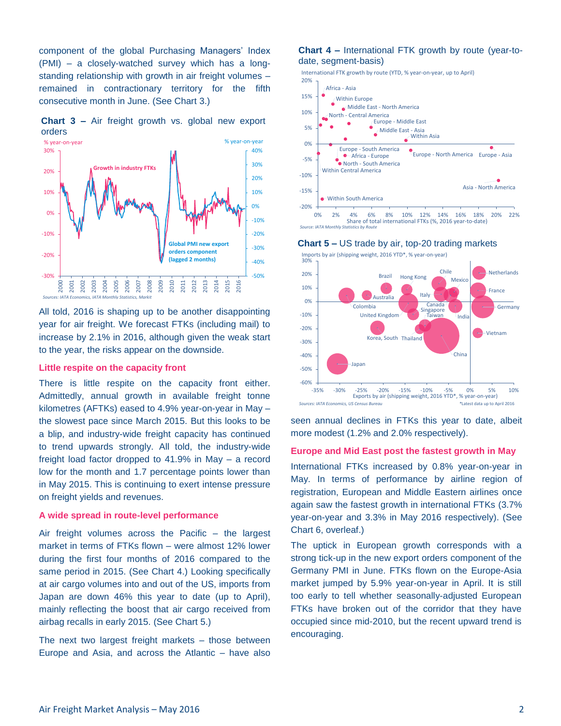component of the global Purchasing Managers' Index (PMI) – a closely-watched survey which has a longstanding relationship with growth in air freight volumes – remained in contractionary territory for the fifth consecutive month in June. (See Chart 3.)



**Chart 3 –** Air freight growth vs. global new export orders

All told, 2016 is shaping up to be another disappointing *Sources – IATA Monthly Statistics, Markit* year for air freight. We forecast FTKs (including mail) to increase by 2.1% in 2016, although given the weak start to the year, the risks appear on the downside.

### **Little respite on the capacity front**

There is little respite on the capacity front either. Admittedly, annual growth in available freight tonne kilometres (AFTKs) eased to 4.9% year-on-year in May – the slowest pace since March 2015. But this looks to be a blip, and industry-wide freight capacity has continued to trend upwards strongly. All told, the industry-wide freight load factor dropped to 41.9% in May – a record low for the month and 1.7 percentage points lower than in May 2015. This is continuing to exert intense pressure on freight yields and revenues.

#### **A wide spread in route-level performance**

Air freight volumes across the Pacific – the largest market in terms of FTKs flown – were almost 12% lower during the first four months of 2016 compared to the same period in 2015. (See Chart 4.) Looking specifically at air cargo volumes into and out of the US, imports from Japan are down 46% this year to date (up to April), mainly reflecting the boost that air cargo received from airbag recalls in early 2015. (See Chart 5.)

The next two largest freight markets – those between Europe and Asia, and across the Atlantic – have also

#### **Chart 4 –** International FTK growth by route (year-todate, segment-basis)

International FTK growth by route (YTD, % year-on-year, up to April)



*Source: IATA Month* 





seen annual declines in FTKs this year to date, albeit more modest (1.2% and 2.0% respectively).

#### **Europe and Mid East post the fastest growth in May**

International FTKs increased by 0.8% year-on-year in May. In terms of performance by airline region of registration, European and Middle Eastern airlines once again saw the fastest growth in international FTKs (3.7% year-on-year and 3.3% in May 2016 respectively). (See Chart 6, overleaf.)

The uptick in European growth corresponds with a strong tick-up in the new export orders component of the Germany PMI in June. FTKs flown on the Europe-Asia market jumped by 5.9% year-on-year in April. It is still too early to tell whether seasonally-adjusted European FTKs have broken out of the corridor that they have occupied since mid-2010, but the recent upward trend is encouraging.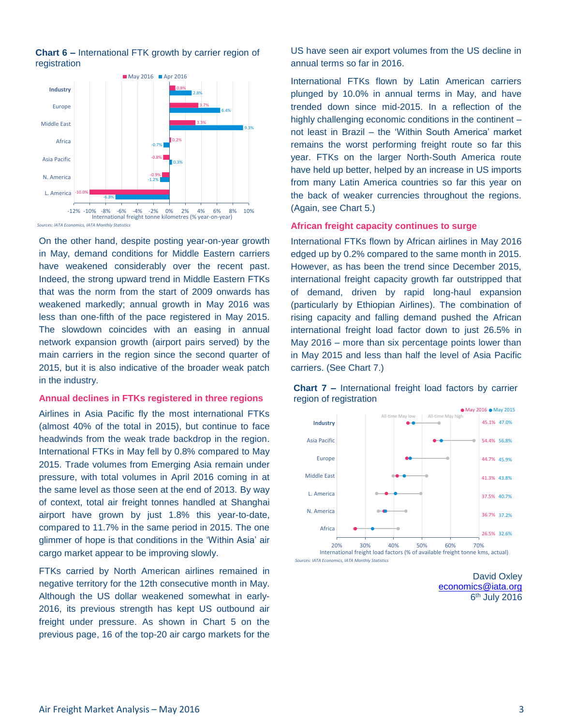

**Chart 6 –** International FTK growth by carrier region of registration

On the other hand, despite posting year-on-year growth in May, demand conditions for Middle Eastern carriers have weakened considerably over the recent past. Indeed, the strong upward trend in Middle Eastern FTKs that was the norm from the start of 2009 onwards has weakened markedly; annual growth in May 2016 was less than one-fifth of the pace registered in May 2015. The slowdown coincides with an easing in annual network expansion growth (airport pairs served) by the main carriers in the region since the second quarter of 2015, but it is also indicative of the broader weak patch in the industry.

#### **Annual declines in FTKs registered in three regions**

Airlines in Asia Pacific fly the most international FTKs (almost 40% of the total in 2015), but continue to face headwinds from the weak trade backdrop in the region. International FTKs in May fell by 0.8% compared to May 2015. Trade volumes from Emerging Asia remain under pressure, with total volumes in April 2016 coming in at the same level as those seen at the end of 2013. By way of context, total air freight tonnes handled at Shanghai airport have grown by just 1.8% this year-to-date, compared to 11.7% in the same period in 2015. The one glimmer of hope is that conditions in the 'Within Asia' air cargo market appear to be improving slowly.

FTKs carried by North American airlines remained in negative territory for the 12th consecutive month in May. Although the US dollar weakened somewhat in early-2016, its previous strength has kept US outbound air freight under pressure. As shown in Chart 5 on the previous page, 16 of the top-20 air cargo markets for the

US have seen air export volumes from the US decline in annual terms so far in 2016.

International FTKs flown by Latin American carriers plunged by 10.0% in annual terms in May, and have trended down since mid-2015. In a reflection of the highly challenging economic conditions in the continent – not least in Brazil – the 'Within South America' market remains the worst performing freight route so far this year. FTKs on the larger North-South America route have held up better, helped by an increase in US imports from many Latin America countries so far this year on the back of weaker currencies throughout the regions. (Again, see Chart 5.)

#### **African freight capacity continues to surge**

International FTKs flown by African airlines in May 2016 edged up by 0.2% compared to the same month in 2015. However, as has been the trend since December 2015, international freight capacity growth far outstripped that of demand, driven by rapid long-haul expansion (particularly by Ethiopian Airlines). The combination of rising capacity and falling demand pushed the African international freight load factor down to just 26.5% in May 2016 – more than six percentage points lower than in May 2015 and less than half the level of Asia Pacific carriers. (See Chart 7.)



**Chart 7 –** International freight load factors by carrier region of registration

> David Oxley [economics@iata.org](mailto:economics@iata.org) 6<sup>th</sup> July 2016